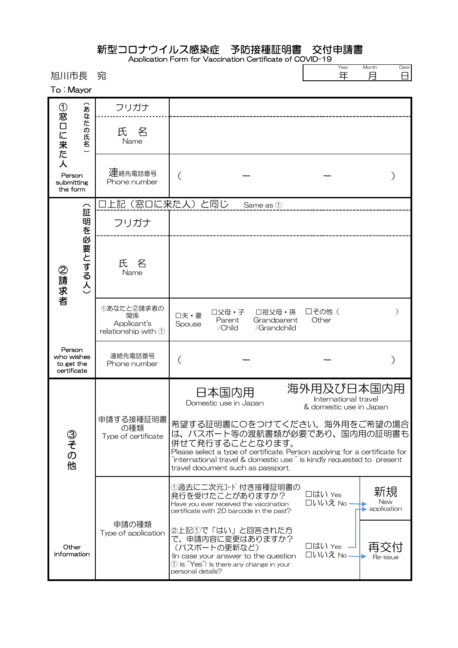|                                                   |                        |                                                          | 新型コロナウイルス感染症 予防接種証明書 交付申請書<br>Application Form for Vaccination Certificate of COVID-19                                                                                                                                                                                                           |                                                               |
|---------------------------------------------------|------------------------|----------------------------------------------------------|--------------------------------------------------------------------------------------------------------------------------------------------------------------------------------------------------------------------------------------------------------------------------------------------------|---------------------------------------------------------------|
| 旭川市長<br>To: Mayor                                 |                        | 宛                                                        |                                                                                                                                                                                                                                                                                                  | Year<br>Month<br>Date<br>年<br>月<br>8                          |
| ➀                                                 | $\widehat{\mathbf{z}}$ | フリガナ                                                     |                                                                                                                                                                                                                                                                                                  |                                                               |
| 窓口に来た                                             | なた<br><b>)の氏名</b>      | 氏 名<br>Name                                              |                                                                                                                                                                                                                                                                                                  |                                                               |
| 人<br>Person<br>submitting<br>the form             |                        | 運絡先電話番号<br>Phone number                                  |                                                                                                                                                                                                                                                                                                  |                                                               |
|                                                   | (証明を必要とする人)            |                                                          | 口上記(窓口に来た人)と同じ<br>Same as 1                                                                                                                                                                                                                                                                      |                                                               |
|                                                   |                        | フリガナ                                                     |                                                                                                                                                                                                                                                                                                  |                                                               |
| ②請求者                                              |                        | 氏<br>名<br>Name                                           |                                                                                                                                                                                                                                                                                                  |                                                               |
|                                                   |                        | ①あなたと2請求者の<br>関係<br>Applicant's<br>relationship with $1$ | □父母・子<br>□祖父母・孫<br>口夫·妻<br>Parent<br>Grandparent<br>Spouse<br>/Child<br>/Grandchild                                                                                                                                                                                                              | □その他(<br>$\mathcal{E}$<br>Other                               |
| Person<br>who wishes<br>to get the<br>certificate |                        | 連絡先電話番号<br>Phone number                                  |                                                                                                                                                                                                                                                                                                  |                                                               |
|                                                   |                        |                                                          | 日本国内用<br>Domestic use in Japan                                                                                                                                                                                                                                                                   | 海外用及び日本国内用<br>International travel<br>& domestic use in Japan |
| ③その他                                              |                        | 申請する接種証明書<br>の種類<br>Type of certificate                  | 希望する証明書にOをつけてください。海外用をご希望の場合<br>は、パスポート等の渡航書類が必要であり、国内用の証明書も<br>併せて発行することとなります。<br>Please select a type of certificate. Person applying for a certificate for<br>$\tilde{a}$ international travel & domestic use $\tilde{a}$ is kindly requested to present<br>travel document such as passport. |                                                               |
|                                                   |                        |                                                          | ①過去に二次元コード付き接種証明書の<br>発行を受けたことがありますか?<br>Have you ever received the vaccination<br>certificate with 2D barcode in the past?                                                                                                                                                                      | 新規<br>□はい Yes<br>New<br>□いいえ No.<br>application               |
| Other<br>information                              |                        | 申請の種類<br>Type of application                             | ②上記①で「はい」と回答された方<br>で、申請内容に変更はありますか?<br>(パスポートの更新など)<br>(In case your answer to the question<br>$\textcircled{1}$ is "Yes") Is there any change in your<br>personal details?                                                                                                                     | □はい Yes<br>□いいえ No<br>Re-issue                                |